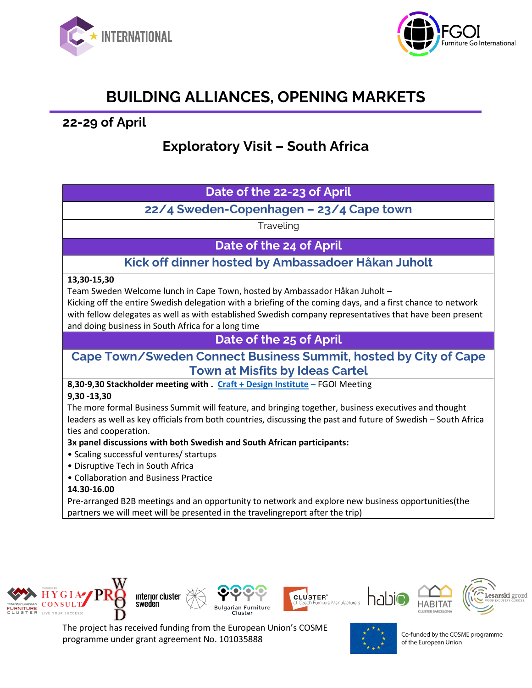



# **BUILDING ALLIANCES, OPENING MARKETS**

**22-29 of April**

# **Exploratory Visit – South Africa**

### **Date of the 22-23 of April**

**22/4 Sweden-Copenhagen – 23/4 Cape town** 

Traveling

**Date of the 24 of April**

**Kick off dinner hosted by Ambassadoer Håkan Juholt**

### **13,30-15,30**

Team Sweden Welcome lunch in Cape Town, hosted by Ambassador Håkan Juholt –

Kicking off the entire Swedish delegation with a briefing of the coming days, and a first chance to network with fellow delegates as well as with established Swedish company representatives that have been present and doing business in South Africa for a long time

**Date of the 25 of April**

### **Cape Town/Sweden Connect Business Summit, hosted by City of Cape Town at Misfits by Ideas Cartel**

**8,30-9,30 Stackholder meeting with . [Craft + Design Institute](https://eur02.safelinks.protection.outlook.com/?url=https%3A%2F%2Fwww.thecdi.org.za%2F&data=04%7C01%7CLethokuhle.Dladla%40business-sweden.se%7Cdf585397e38b4dffd66008da0d79f896%7Cce8f297f41bc4fd4abb7ba447bda5814%7C0%7C0%7C637837114753667448%7CUnknown%7CTWFpbGZsb3d8eyJWIjoiMC4wLjAwMDAiLCJQIjoiV2luMzIiLCJBTiI6Ik1haWwiLCJXVCI6Mn0%3D%7C3000&sdata=ZMDEusCkQHFvcgz480XysMEYdUMwS83Ko%2Bj%2FHPfsMbc%3D&reserved=0)** – FGOI Meeting

### **9,30 -13,30**

The more formal Business Summit will feature, and bringing together, business executives and thought leaders as well as key officials from both countries, discussing the past and future of Swedish – South Africa ties and cooperation.

**3x panel discussions with both Swedish and South African participants:** 

- Scaling successful ventures/ startups
- Disruptive Tech in South Africa
- Collaboration and Business Practice

### **14.30-16.00**

Pre-arranged B2B meetings and an opportunity to network and explore new business opportunities(the partners we will meet will be presented in the travelingreport after the trip)



The project has received funding from the European Union's COSME programme under grant agreement No. 101035888

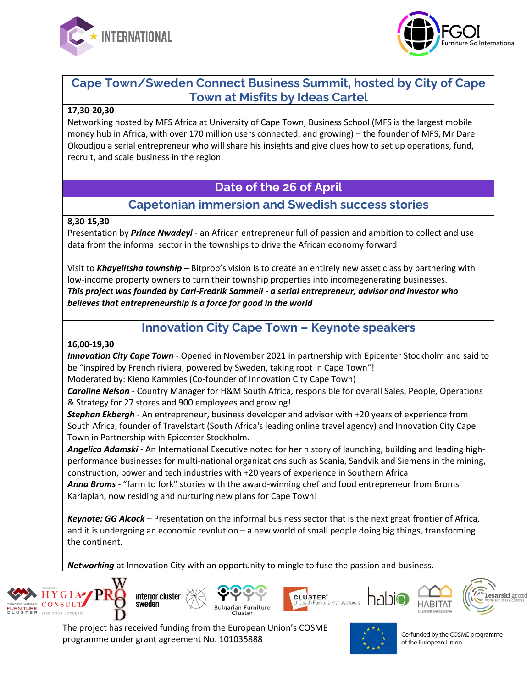



## **Cape Town/Sweden Connect Business Summit, hosted by City of Cape Town at Misfits by Ideas Cartel**

#### **17,30-20,30**

Networking hosted by MFS Africa at University of Cape Town, Business School (MFS is the largest mobile money hub in Africa, with over 170 million users connected, and growing) – the founder of MFS, Mr Dare Okoudjou a serial entrepreneur who will share his insights and give clues how to set up operations, fund, recruit, and scale business in the region.

### **Date of the 26 of April**

# **Capetonian immersion and Swedish success stories**

### **8,30-15,30**

Presentation by *Prince Nwadeyi* - an African entrepreneur full of passion and ambition to collect and use data from the informal sector in the townships to drive the African economy forward

Visit to *Khayelitsha township* – Bitprop's vision is to create an entirely new asset class by partnering with low-income property owners to turn their township properties into incomegenerating businesses. *This project was founded by Carl-Fredrik Sammeli - a serial entrepreneur, advisor and investor who believes that entrepreneurship is a force for good in the world*

### **Innovation City Cape Town – Keynote speakers**

#### **16,00-19,30**

*Innovation City Cape Town* - Opened in November 2021 in partnership with Epicenter Stockholm and said to be "inspired by French riviera, powered by Sweden, taking root in Cape Town"!

Moderated by: Kieno Kammies (Co-founder of Innovation City Cape Town)

*Caroline Nelson* - Country Manager for H&M South Africa, responsible for overall Sales, People, Operations & Strategy for 27 stores and 900 employees and growing!

*Stephan Ekbergh* - An entrepreneur, business developer and advisor with +20 years of experience from South Africa, founder of Travelstart (South Africa's leading online travel agency) and Innovation City Cape Town in Partnership with Epicenter Stockholm.

*Angelica Adamski* - An International Executive noted for her history of launching, building and leading highperformance businesses for multi-national organizations such as Scania, Sandvik and Siemens in the mining, construction, power and tech industries with +20 years of experience in Southern Africa

*Anna Broms* - "farm to fork" stories with the award-winning chef and food entrepreneur from Broms Karlaplan, now residing and nurturing new plans for Cape Town!

*Keynote: GG Alcock* – Presentation on the informal business sector that is the next great frontier of Africa, and it is undergoing an economic revolution – a new world of small people doing big things, transforming the continent.

*Networking* at Innovation City with an opportunity to mingle to fuse the passion and business.











The project has received funding from the European Union's COSME programme under grant agreement No. 101035888

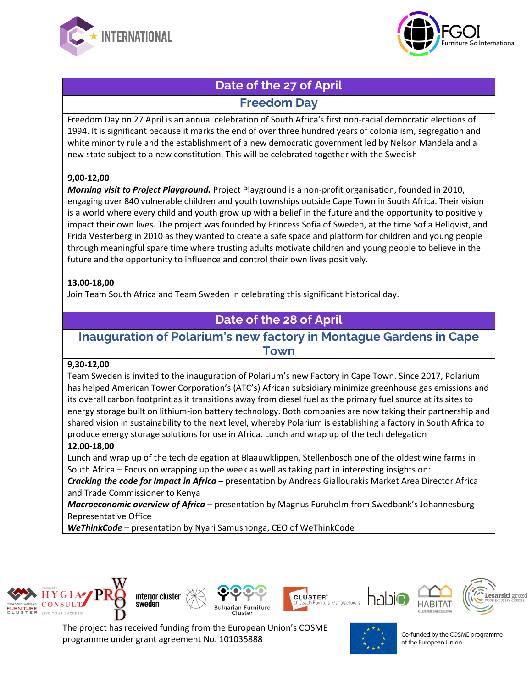



# **Date of the 27 of April Freedom Day**

Freedom Day on 27 April is an annual celebration of South Africa's first non-racial democratic elections of 1994. It is significant because it marks the end of over three hundred years of colonialism, segregation and white minority rule and the establishment of a new democratic government led by Nelson Mandela and a new state subject to a new constitution. This will be celebrated together with the Swedish

### **9,00-12,00**

*Morning visit to Project Playground.* Project Playground is a non-profit organisation, founded in 2010, engaging over 840 vulnerable children and youth townships outside Cape Town in South Africa. Their vision is a world where every child and youth grow up with a belief in the future and the opportunity to positively impact their own lives. The project was founded by Princess Sofia of Sweden, at the time Sofia Hellqvist, and Frida Vesterberg in 2010 as they wanted to create a safe space and platform for children and young people through meaningful spare time where trusting adults motivate children and young people to believe in the future and the opportunity to influence and control their own lives positively.

#### **13,00-18,00**

Join Team South Africa and Team Sweden in celebrating this significant historical day.

## **Date of the 28 of April**

### **Inauguration of Polarium's new factory in Montague Gardens in Cape Town**

### **9,30-12,00**

Team Sweden is invited to the inauguration of Polarium's new Factory in Cape Town. Since 2017, Polarium has helped American Tower Corporation's (ATC's) African subsidiary minimize greenhouse gas emissions and its overall carbon footprint as it transitions away from diesel fuel as the primary fuel source at its sites to energy storage built on lithium-ion battery technology. Both companies are now taking their partnership and shared vision in sustainability to the next level, whereby Polarium is establishing a factory in South Africa to produce energy storage solutions for use in Africa. Lunch and wrap up of the tech delegation

### **12,00-18,00**

Lunch and wrap up of the tech delegation at Blaauwklippen, Stellenbosch one of the oldest wine farms in South Africa – Focus on wrapping up the week as well as taking part in interesting insights on:

*Cracking the code for Impact in Africa* – presentation by Andreas Giallourakis Market Area Director Africa and Trade Commissioner to Kenya

*Macroeconomic overview of Africa* – presentation by Magnus Furuholm from Swedbank's Johannesburg Representative Office

*WeThinkCode* – presentation by Nyari Samushonga, CEO of WeThinkCode





The project has received funding from the European Union's COSME programme under grant agreement No. 101035888